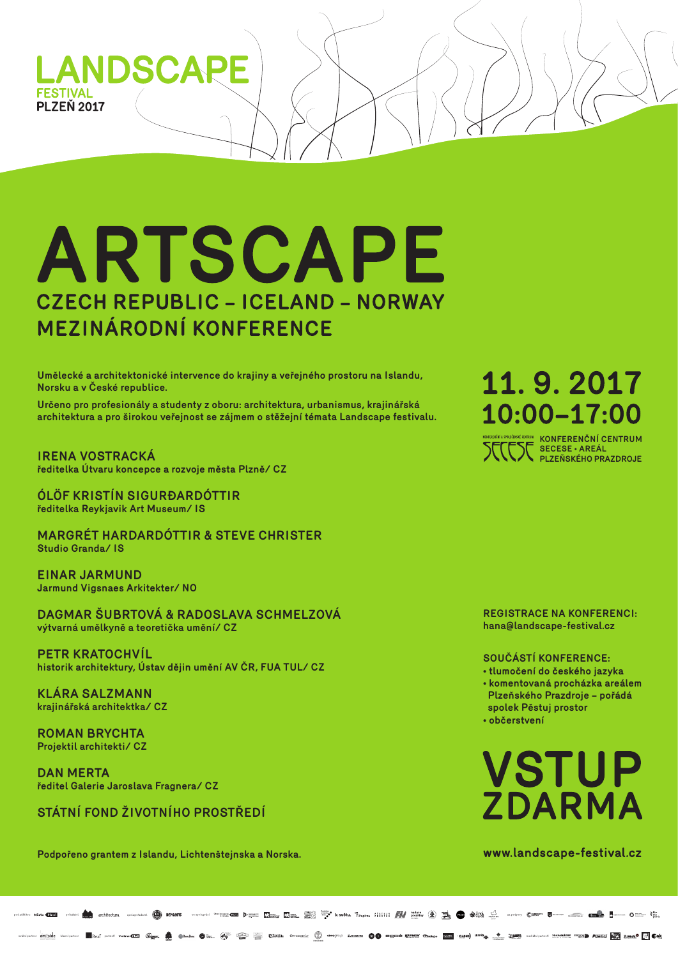

# ARTSCAPE **CZECH REPUBLIC - ICELAND - NORWAY** MEZINÁRODNÍ KONFERENCE

**Podpořeno grantem z Islandu, Lichtenštejnska a Norska.**

### **SOUČÁSTÍ KONFERENCE:**

- **tlumočení do českého jazyka**
- **komentovaná procházka areálem Plzeňského Prazdroje – pořádá spolek Pěstuj prostor**
- **občerstvení**

# VSTUP ZDARMA

www.landscape-festival.cz



**REGISTRACE NA KONFERENCI: hana@landscape-festival.cz**

**Umělecké a architektonické intervence do krajiny a veřejného prostoru na Islandu, Norsku a v České republice.** 

**Určeno pro profesionály a studenty z oboru: architektura, urbanismus, krajinářská architektura a pro širokou veřejnost se zájmem o stěžejní témata Landscape festivalu.** 

**IRENA VOSTRACKÁ ředitelka Útvaru koncepce a rozvoje města Plzně/ CZ**

**ÓLÖF KRISTÍN SIGURÐARDÓTTIR ředitelka Reykjavik Art Museum/ IS**

11.9.2017 10:00-17:00

### **MARGRÉT HARDARDÓTTIR & STEVE CHRISTER Studio Granda/ IS**

**EINAR JARMUND Jarmund Vigsnaes Arkitekter/ NO**

**DAGMAR ŠUBRTOVÁ & RADOSLAVA SCHMELZOVÁ výtvarná umělkyně a teoretička umění/ CZ**

**PETR KRATOCHVÍL historik architektury, Ústav dějin umění AV ČR, FUA TUL/ CZ**

**KLÁRA SALZMANN krajinářská architektka/ CZ**

**ROMAN BRYCHTA Projektil architekti/ CZ**

**DAN MERTA ředitel Galerie Jaroslava Fragnera/ CZ**

### **STÁTNÍ FOND ŽIVOTNÍHO PROSTŘEDÍ**

**KONFERENČNÍ CENTRUM SECESE • AREÁL PLZEŇSKÉHO PRAZDROJE**